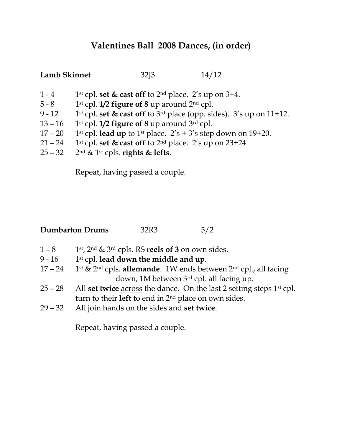## Valentines Ball 2008 Dances, (in order)

| <b>Lamb Skinnet</b> |                                                                     | 32 <sub>13</sub> | 14/12                                                                                                  |  |
|---------------------|---------------------------------------------------------------------|------------------|--------------------------------------------------------------------------------------------------------|--|
| $1 - 4$             |                                                                     |                  | 1 <sup>st</sup> cpl. set $\&$ cast off to 2 <sup>nd</sup> place. 2's up on 3+4.                        |  |
| $5 - 8$             | 1 <sup>st</sup> cpl. <b>1/2 figure of 8</b> up around $2^{nd}$ cpl. |                  |                                                                                                        |  |
| $9 - 12$            |                                                                     |                  | 1 <sup>st</sup> cpl. <b>set &amp; cast off</b> to 3 <sup>rd</sup> place (opp. sides). 3's up on 11+12. |  |
| $13 - 16$           | 1 <sup>st</sup> cpl. $1/2$ figure of 8 up around $3rd$ cpl.         |                  |                                                                                                        |  |
| $17 - 20$           |                                                                     |                  | 1 <sup>st</sup> cpl. <b>lead up</b> to 1 <sup>st</sup> place. $2's + 3's$ step down on 19+20.          |  |
| $21 - 24$           |                                                                     |                  | 1 <sup>st</sup> cpl. set $\&$ cast off to 2 <sup>nd</sup> place. 2's up on 23+24.                      |  |
|                     |                                                                     |                  |                                                                                                        |  |

25 – 32 2<sup>nd</sup> & 1<sup>st</sup> cpls. rights & lefts.

Repeat, having passed a couple.

| <b>Dumbarton Drums</b> | 32R3 |  |
|------------------------|------|--|
|------------------------|------|--|

- 1 8 1st,  $2^{nd}$  &  $3^{rd}$  cpls. RS reels of 3 on own sides.
- 9 16 1st cpl. lead down the middle and up.<br>17 24 1st & 2<sup>nd</sup> cpls. **allemande**. 1W ends bet
- 1<sup>st</sup> & 2<sup>nd</sup> cpls. allemande. 1W ends between 2<sup>nd</sup> cpl., all facing down, 1M between 3rd cpl. all facing up.
- 25 28 All set twice  $\frac{\text{across}}{\text{the}}$  dance. On the last 2 setting steps 1<sup>st</sup> cpl. turn to their **left** to end in  $2^{nd}$  place on <u>own</u> sides.
- 29 32 All join hands on the sides and set twice.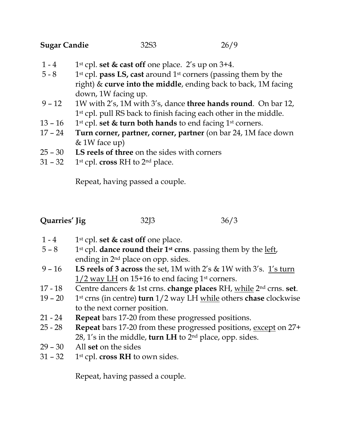| Sugar Candie | 32S <sub>3</sub> | 26/9 |
|--------------|------------------|------|
|              |                  |      |

- 1 4 1st cpl. set & cast off one place. 2's up on  $3+4$ .
- 5 8 1st cpl. pass LS, cast around 1st corners (passing them by the right) & curve into the middle, ending back to back, 1M facing down, 1W facing up.
- 9 12 1W with 2's, 1M with 3's, dance three hands round. On bar 12, 1<sup>st</sup> cpl. pull RS back to finish facing each other in the middle.
- 13 16 1st cpl. set & turn both hands to end facing 1st corners.
- 17 24 Turn corner, partner, corner, partner (on bar 24, 1M face down & 1W face up)
- 25 30 LS reels of three on the sides with corners
- $31 32$  1st cpl. cross RH to 2<sup>nd</sup> place.

Repeat, having passed a couple.

| Quarries' Jig | 32 <sub>13</sub> | 36/3 |
|---------------|------------------|------|
|               |                  |      |

- 1 4 1st cpl. set  $\&$  cast off one place.
- $5 8$  1st cpl. dance round their 1st crns. passing them by the left, ending in 2nd place on opp. sides.
- 9 16 LS reels of 3 across the set, 1M with 2's & 1W with 3's.  $1\frac{1}{\text{s}}$  turn  $1/2$  way LH on 15+16 to end facing 1<sup>st</sup> corners.
- 17 18 Centre dancers & 1st crns. change places RH, while  $2<sup>nd</sup>$  crns. set.
- 19 20 1<sup>st</sup> crns (in centre) **turn**  $1/2$  way LH while others **chase** clockwise to the next corner position.
- 21 24 Repeat bars 17-20 from these progressed positions.
- 25 28 Repeat bars 17-20 from these progressed positions, except on 27+ 28, 1's in the middle, turn LH to  $2<sup>nd</sup>$  place, opp. sides.
- 29 30 All set on the sides
- $31 32$  1st cpl. cross RH to own sides.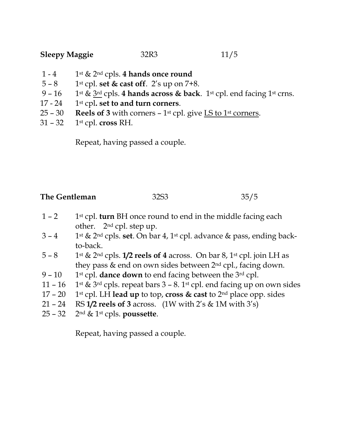- 1 4 1st  $\&$  2<sup>nd</sup> cpls. 4 hands once round
- 5 8 1st cpl. set & cast off. 2's up on 7+8.<br>9 16 1st & 3<sup>rd</sup> cpls. 4 hands across & back
- 1<sup>st</sup> &  $3<sup>rd</sup>$  cpls. 4 hands across & back. 1<sup>st</sup> cpl. end facing 1<sup>st</sup> crns.
- 17 24  $1$ <sup>st</sup> cpl. set to and turn corners.
- 25 30 Reels of 3 with corners 1<sup>st</sup> cpl. give  $\underline{LS}$  to 1<sup>st</sup> corners.
- $31 32$  1st cpl. cross RH.

Repeat, having passed a couple.

| The Gentleman | 32S <sub>3</sub> | 35/5 |
|---------------|------------------|------|
|               |                  |      |

- $1 2$  1<sup>st</sup> cpl. **turn** BH once round to end in the middle facing each other. 2nd cpl. step up.
- $3 4$  1st & 2<sup>nd</sup> cpls. set. On bar 4, 1st cpl. advance & pass, ending backto-back.
- 5 8 1st & 2<sup>nd</sup> cpls. 1/2 reels of 4 across. On bar 8, 1<sup>st</sup> cpl. join LH as they pass & end on own sides between 2<sup>nd</sup> cpl., facing down.
- $9 10$  1st cpl. dance down to end facing between the 3rd cpl.
- 11 16 1st & 3rd cpls. repeat bars  $3 8$ . 1st cpl. end facing up on own sides
- 17 20 1st cpl. LH lead up to top, cross & cast to  $2<sup>nd</sup>$  place opp. sides
- 21 24 RS 1/2 reels of 3 across.  $(1W \text{ with } 2's \& 1M \text{ with } 3's)$
- $25 32$   $2<sup>nd</sup>$  & 1<sup>st</sup> cpls. poussette.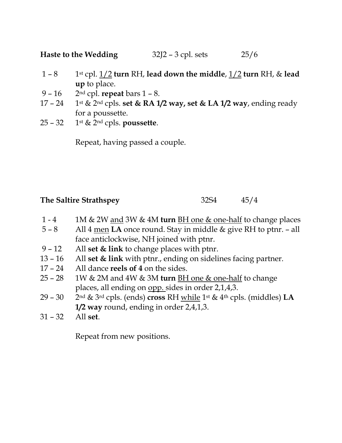Haste to the Wedding 32J2 – 3 cpl. sets 25/6

- 1 8 1st cpl.  $1/2$  turn RH, lead down the middle,  $1/2$  turn RH, & lead up to place.
- 9 16  $2<sup>nd</sup>$  cpl. repeat bars 1 8.
- 17 24 1st & 2<sup>nd</sup> cpls. set & RA 1/2 way, set & LA 1/2 way, ending ready for a poussette.
- 25 32 1st & 2<sup>nd</sup> cpls. poussette.

Repeat, having passed a couple.

## The Saltire Strathspey 32S4 45/4

- 1 4 1M & 2W and 3W & 4M turn BH one & one-half to change places
- $5 8$  All 4 men LA once round. Stay in middle & give RH to ptnr. all face anticlockwise, NH joined with ptnr.
- 9 12 All set  $&$  link to change places with ptnr.
- 13 16 All set & link with ptnr., ending on sidelines facing partner.
- 17 24 All dance reels of 4 on the sides.
- 25 28 1W & 2M and 4W & 3M turn  $\underline{BH}$  one & one-half to change places, all ending on opp. sides in order 2,1,4,3.
- 29 30 2nd & 3rd cpls. (ends) cross RH while 1<sup>st</sup> & 4<sup>th</sup> cpls. (middles) LA 1/2 way round, ending in order 2,4,1,3.
- 31 32 All set.

Repeat from new positions.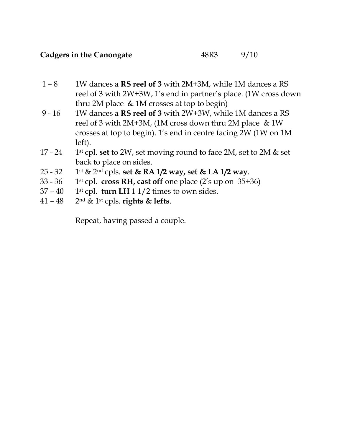## Cadgers in the Canongate 48R3 9/10

- 1 8 1W dances a **RS reel of 3** with 2M+3M, while 1M dances a RS reel of 3 with 2W+3W, 1's end in partner's place. (1W cross down thru 2M place & 1M crosses at top to begin)
- 9 16 1W dances a RS reel of 3 with 2W+3W, while 1M dances a RS reel of 3 with 2M+3M, (1M cross down thru 2M place & 1W crosses at top to begin). 1's end in centre facing 2W (1W on 1M left).
- 17 24 1<sup>st</sup> cpl. set to 2W, set moving round to face 2M, set to 2M & set back to place on sides.
- 25 32 1st & 2<sup>nd</sup> cpls. set & RA 1/2 way, set & LA 1/2 way.
- 33 36 1st cpl. cross RH, cast off one place  $(2's up on 35+36)$
- $37 40$  1<sup>st</sup> cpl. **turn LH** 1 1/2 times to own sides.
- 41 48  $2<sup>nd</sup>$  & 1<sup>st</sup> cpls. rights & lefts.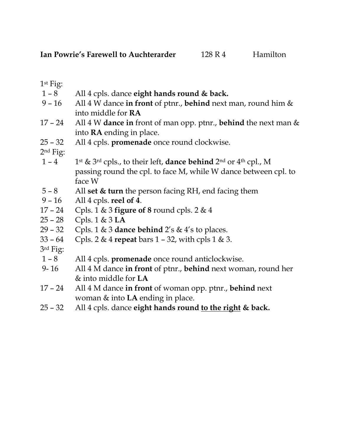1st Fig:

- 1 8 All 4 cpls. dance eight hands round & back.
- 9 16 All 4 W dance in front of ptnr., behind next man, round him  $\&$ into middle for RA
- 17 24 All 4 W dance in front of man opp. ptnr., behind the next man  $\&$ into RA ending in place.
- 25 32 All 4 cpls. promenade once round clockwise.

2nd Fig:

- 1 4 1st & 3rd cpls., to their left, **dance behind** 2<sup>nd</sup> or 4<sup>th</sup> cpl., M passing round the cpl. to face M, while W dance between cpl. to face W
- $5 8$  All set & turn the person facing RH, end facing them
- 9 16 All 4 cpls. reel of 4.
- 17 24 Cpls. 1 & 3 figure of 8 round cpls. 2 & 4
- 25 28 Cpls. 1 & 3 LA
- 29 32 Cpls. 1 & 3 dance behind  $2's \& 4's$  to places.
- 33 64 Cpls. 2 & 4 repeat bars  $1 32$ , with cpls  $1 \& 3$ .
- 3rd Fig:
- 1 8 All 4 cpls. promenade once round anticlockwise.
- 9-16 All 4 M dance in front of ptnr., behind next woman, round her & into middle for LA
- 17 24 All 4 M dance in front of woman opp. ptnr., behind next woman & into LA ending in place.
- 25 32 All 4 cpls. dance eight hands round to the right  $\&$  back.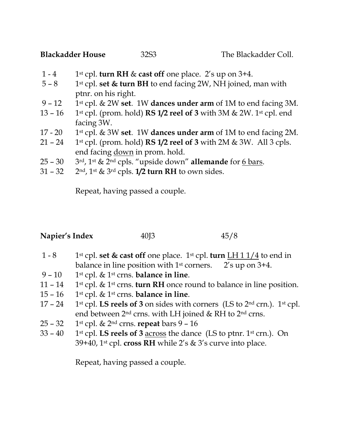- 1 4 1st cpl. turn RH & cast off one place. 2's up on  $3+4$ .
- $5 8$  1st cpl. set & turn BH to end facing 2W, NH joined, man with ptnr. on his right.
- 9 12 1st cpl. & 2W set. 1W dances under arm of 1M to end facing 3M.
- 13 16 1st cpl. (prom. hold) **RS 1/2 reel of 3** with 3M & 2W. 1st cpl. end facing 3W.
- 17 20 1st cpl.  $\&$  3W set. 1W dances under arm of 1M to end facing 2M.
- 21 24 1st cpl. (prom. hold) **RS 1/2 reel of 3** with 2M & 3W. All 3 cpls. end facing down in prom. hold.
- 25 30  $\cdot$  3rd, 1st & 2nd cpls. "upside down" allemande for 6 bars.
- 31 32  $2^{nd}$ , 1<sup>st</sup> & 3<sup>rd</sup> cpls. 1/2 turn RH to own sides.

Repeat, having passed a couple.

Napier's Index 40J3 45/8

- 1 8 1st cpl. set & cast off one place. 1st cpl. turn  $LH$  1  $1/4$  to end in balance in line position with  $1<sup>st</sup>$  corners.  $2's$  up on  $3+4$ .
- 9 10 1st cpl. & 1st crns. balance in line.
- 11 14 1st cpl. & 1st crns. turn RH once round to balance in line position.
- 15 16 1st cpl. & 1st crns. balance in line.
- 17 24 1st cpl. LS reels of 3 on sides with corners (LS to  $2<sup>nd</sup>$  crn.). 1st cpl. end between  $2<sup>nd</sup>$  crns. with LH joined & RH to  $2<sup>nd</sup>$  crns.
- $25 32$  1st cpl. & 2<sup>nd</sup> crns. repeat bars 9 16
- 33 40 1st cpl. LS reels of 3 across the dance (LS to ptnr. 1st crn.). On 39+40, 1<sup>st</sup> cpl. cross RH while 2's & 3's curve into place.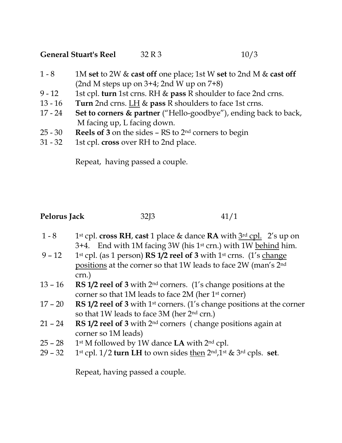## General Stuart's Reel  $32 R 3$  10/3

- 1 8 1M set to 2W & cast off one place; 1st W set to 2nd M & cast off (2nd M steps up on 3+4; 2nd W up on 7+8)
- 9 12 1st cpl. turn 1st crns. RH & pass R shoulder to face 2nd crns.
- 13 16 Turn 2nd crns. LH & pass R shoulders to face 1st crns.
- 17 24 Set to corners & partner ("Hello-goodbye"), ending back to back, M facing up, L facing down.
- 25 30 Reels of 3 on the sides RS to 2nd corners to begin
- 31 32 1st cpl. cross over RH to 2nd place.

Repeat, having passed a couple.

|  | Pelorus Jack | 32 <sub>13</sub> | 41/1 |
|--|--------------|------------------|------|
|--|--------------|------------------|------|

- 1 8 1st cpl. cross RH, cast 1 place & dance RA with  $3<sup>rd</sup>$  cpl. 2's up on 3+4. End with 1M facing 3W (his 1<sup>st</sup> crn.) with 1W behind him.
- 9 12 1st cpl. (as 1 person) **RS 1/2 reel of 3** with 1<sup>st</sup> crns. (1's change positions at the corner so that 1W leads to face 2W (man's 2nd crn.)
- 13 16 RS 1/2 reel of 3 with  $2<sup>nd</sup>$  corners. (1's change positions at the corner so that 1M leads to face 2M (her 1st corner)
- 17 20 RS 1/2 reel of 3 with 1<sup>st</sup> corners. (1's change positions at the corner so that 1W leads to face 3M (her 2<sup>nd</sup> crn.)
- 21 24 RS 1/2 reel of 3 with  $2<sup>nd</sup>$  corners (change positions again at corner so 1M leads)
- 25 28 1st M followed by 1W dance LA with  $2<sup>nd</sup>$  cpl.
- 29 32 1st cpl.  $1/2$  turn LH to own sides then  $2<sup>nd</sup>,1<sup>st</sup>$  &  $3<sup>rd</sup>$  cpls. set.